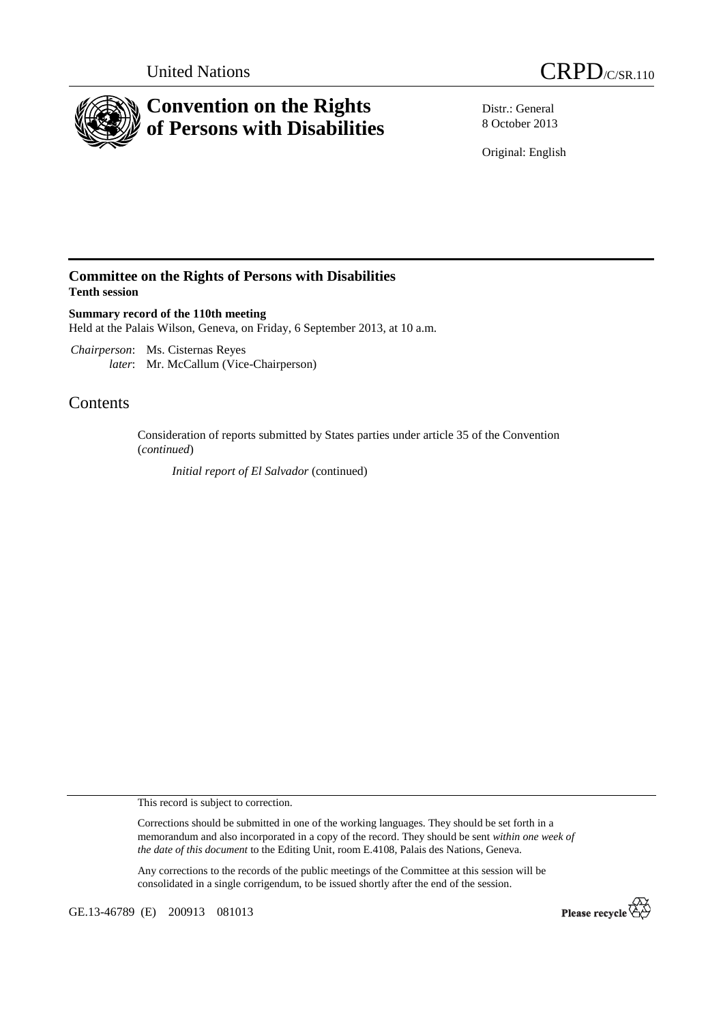



Distr.: General 8 October 2013

Original: English

## **Committee on the Rights of Persons with Disabilities Tenth session**

**Summary record of the 110th meeting**  Held at the Palais Wilson, Geneva, on Friday, 6 September 2013, at 10 a.m.

 *Chairperson*: Ms. Cisternas Reyes *later*: Mr. McCallum (Vice-Chairperson)

# Contents

Consideration of reports submitted by States parties under article 35 of the Convention (*continued*)

*Initial report of El Salvador* (continued)

This record is subject to correction.

Corrections should be submitted in one of the working languages. They should be set forth in a memorandum and also incorporated in a copy of the record. They should be sent *within one week of the date of this document* to the Editing Unit, room E.4108, Palais des Nations, Geneva.

Any corrections to the records of the public meetings of the Committee at this session will be consolidated in a single corrigendum, to be issued shortly after the end of the session.

GE.13-46789 (E) 200913 081013

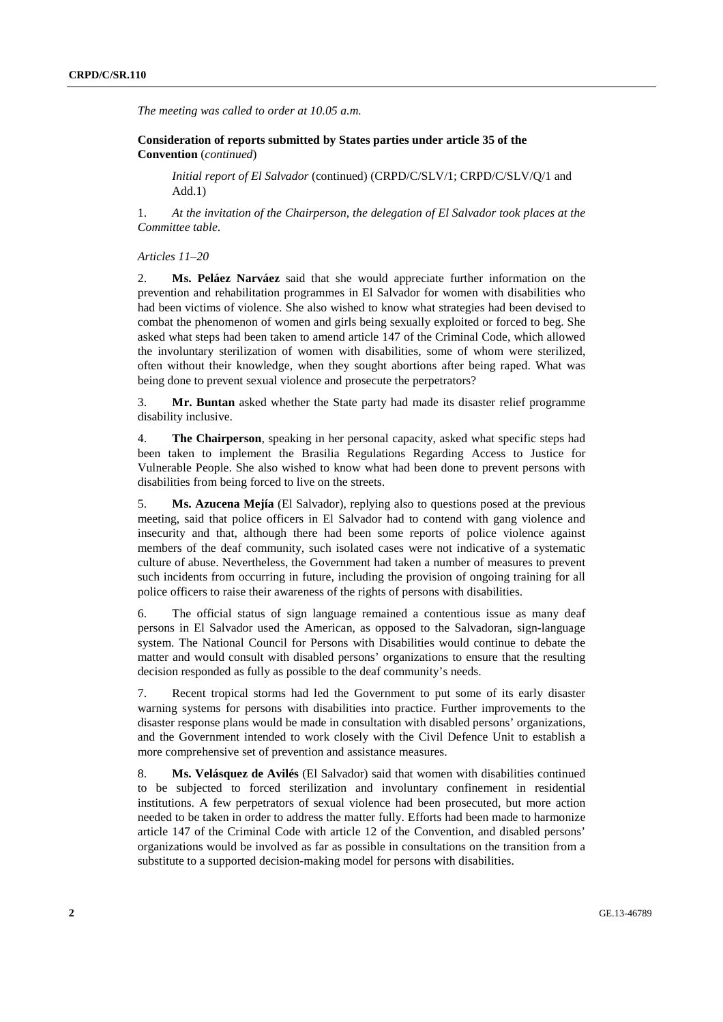*The meeting was called to order at 10.05 a.m.* 

 **Consideration of reports submitted by States parties under article 35 of the Convention** (*continued*)

*Initial report of El Salvador* (continued) (CRPD/C/SLV/1; CRPD/C/SLV/Q/1 and Add.1)

1. *At the invitation of the Chairperson, the delegation of El Salvador took places at the Committee table*.

 *Articles 11–20* 

2. **Ms. Peláez Narváez** said that she would appreciate further information on the prevention and rehabilitation programmes in El Salvador for women with disabilities who had been victims of violence. She also wished to know what strategies had been devised to combat the phenomenon of women and girls being sexually exploited or forced to beg. She asked what steps had been taken to amend article 147 of the Criminal Code, which allowed the involuntary sterilization of women with disabilities, some of whom were sterilized, often without their knowledge, when they sought abortions after being raped. What was being done to prevent sexual violence and prosecute the perpetrators?

3. **Mr. Buntan** asked whether the State party had made its disaster relief programme disability inclusive.

4. **The Chairperson**, speaking in her personal capacity, asked what specific steps had been taken to implement the Brasilia Regulations Regarding Access to Justice for Vulnerable People. She also wished to know what had been done to prevent persons with disabilities from being forced to live on the streets.

5. **Ms. Azucena Mejía** (El Salvador), replying also to questions posed at the previous meeting, said that police officers in El Salvador had to contend with gang violence and insecurity and that, although there had been some reports of police violence against members of the deaf community, such isolated cases were not indicative of a systematic culture of abuse. Nevertheless, the Government had taken a number of measures to prevent such incidents from occurring in future, including the provision of ongoing training for all police officers to raise their awareness of the rights of persons with disabilities.

6. The official status of sign language remained a contentious issue as many deaf persons in El Salvador used the American, as opposed to the Salvadoran, sign-language system. The National Council for Persons with Disabilities would continue to debate the matter and would consult with disabled persons' organizations to ensure that the resulting decision responded as fully as possible to the deaf community's needs.

7. Recent tropical storms had led the Government to put some of its early disaster warning systems for persons with disabilities into practice. Further improvements to the disaster response plans would be made in consultation with disabled persons' organizations, and the Government intended to work closely with the Civil Defence Unit to establish a more comprehensive set of prevention and assistance measures.

8. **Ms. Velásquez de Avilés** (El Salvador) said that women with disabilities continued to be subjected to forced sterilization and involuntary confinement in residential institutions. A few perpetrators of sexual violence had been prosecuted, but more action needed to be taken in order to address the matter fully. Efforts had been made to harmonize article 147 of the Criminal Code with article 12 of the Convention, and disabled persons' organizations would be involved as far as possible in consultations on the transition from a substitute to a supported decision-making model for persons with disabilities.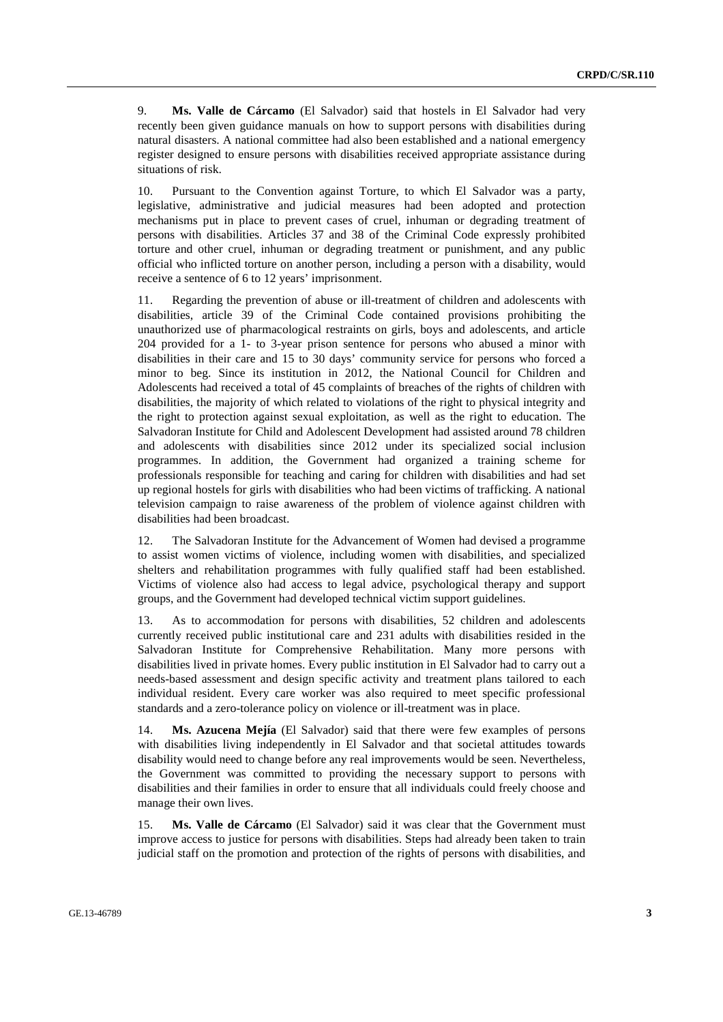9. **Ms. Valle de Cárcamo** (El Salvador) said that hostels in El Salvador had very recently been given guidance manuals on how to support persons with disabilities during natural disasters. A national committee had also been established and a national emergency register designed to ensure persons with disabilities received appropriate assistance during situations of risk.

Pursuant to the Convention against Torture, to which El Salvador was a party, legislative, administrative and judicial measures had been adopted and protection mechanisms put in place to prevent cases of cruel, inhuman or degrading treatment of persons with disabilities. Articles 37 and 38 of the Criminal Code expressly prohibited torture and other cruel, inhuman or degrading treatment or punishment, and any public official who inflicted torture on another person, including a person with a disability, would receive a sentence of 6 to 12 years' imprisonment.

11. Regarding the prevention of abuse or ill-treatment of children and adolescents with disabilities, article 39 of the Criminal Code contained provisions prohibiting the unauthorized use of pharmacological restraints on girls, boys and adolescents, and article 204 provided for a 1- to 3-year prison sentence for persons who abused a minor with disabilities in their care and 15 to 30 days' community service for persons who forced a minor to beg. Since its institution in 2012, the National Council for Children and Adolescents had received a total of 45 complaints of breaches of the rights of children with disabilities, the majority of which related to violations of the right to physical integrity and the right to protection against sexual exploitation, as well as the right to education. The Salvadoran Institute for Child and Adolescent Development had assisted around 78 children and adolescents with disabilities since 2012 under its specialized social inclusion programmes. In addition, the Government had organized a training scheme for professionals responsible for teaching and caring for children with disabilities and had set up regional hostels for girls with disabilities who had been victims of trafficking. A national television campaign to raise awareness of the problem of violence against children with disabilities had been broadcast.

12. The Salvadoran Institute for the Advancement of Women had devised a programme to assist women victims of violence, including women with disabilities, and specialized shelters and rehabilitation programmes with fully qualified staff had been established. Victims of violence also had access to legal advice, psychological therapy and support groups, and the Government had developed technical victim support guidelines.

13. As to accommodation for persons with disabilities, 52 children and adolescents currently received public institutional care and 231 adults with disabilities resided in the Salvadoran Institute for Comprehensive Rehabilitation. Many more persons with disabilities lived in private homes. Every public institution in El Salvador had to carry out a needs-based assessment and design specific activity and treatment plans tailored to each individual resident. Every care worker was also required to meet specific professional standards and a zero-tolerance policy on violence or ill-treatment was in place.

14. **Ms. Azucena Mejía** (El Salvador) said that there were few examples of persons with disabilities living independently in El Salvador and that societal attitudes towards disability would need to change before any real improvements would be seen. Nevertheless, the Government was committed to providing the necessary support to persons with disabilities and their families in order to ensure that all individuals could freely choose and manage their own lives.

15. **Ms. Valle de Cárcamo** (El Salvador) said it was clear that the Government must improve access to justice for persons with disabilities. Steps had already been taken to train judicial staff on the promotion and protection of the rights of persons with disabilities, and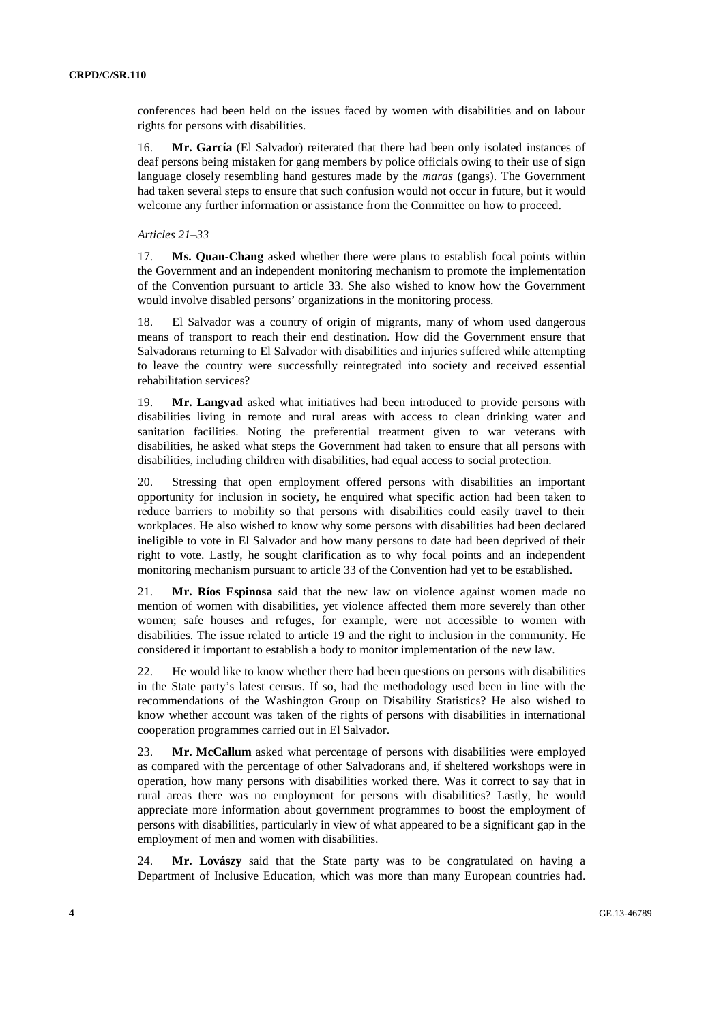conferences had been held on the issues faced by women with disabilities and on labour rights for persons with disabilities.

16. **Mr. García** (El Salvador) reiterated that there had been only isolated instances of deaf persons being mistaken for gang members by police officials owing to their use of sign language closely resembling hand gestures made by the *maras* (gangs). The Government had taken several steps to ensure that such confusion would not occur in future, but it would welcome any further information or assistance from the Committee on how to proceed.

### *Articles 21–33*

17. **Ms. Quan-Chang** asked whether there were plans to establish focal points within the Government and an independent monitoring mechanism to promote the implementation of the Convention pursuant to article 33. She also wished to know how the Government would involve disabled persons' organizations in the monitoring process.

18. El Salvador was a country of origin of migrants, many of whom used dangerous means of transport to reach their end destination. How did the Government ensure that Salvadorans returning to El Salvador with disabilities and injuries suffered while attempting to leave the country were successfully reintegrated into society and received essential rehabilitation services?

19. **Mr. Langvad** asked what initiatives had been introduced to provide persons with disabilities living in remote and rural areas with access to clean drinking water and sanitation facilities. Noting the preferential treatment given to war veterans with disabilities, he asked what steps the Government had taken to ensure that all persons with disabilities, including children with disabilities, had equal access to social protection.

20. Stressing that open employment offered persons with disabilities an important opportunity for inclusion in society, he enquired what specific action had been taken to reduce barriers to mobility so that persons with disabilities could easily travel to their workplaces. He also wished to know why some persons with disabilities had been declared ineligible to vote in El Salvador and how many persons to date had been deprived of their right to vote. Lastly, he sought clarification as to why focal points and an independent monitoring mechanism pursuant to article 33 of the Convention had yet to be established.

21. **Mr. Ríos Espinosa** said that the new law on violence against women made no mention of women with disabilities, yet violence affected them more severely than other women; safe houses and refuges, for example, were not accessible to women with disabilities. The issue related to article 19 and the right to inclusion in the community. He considered it important to establish a body to monitor implementation of the new law.

22. He would like to know whether there had been questions on persons with disabilities in the State party's latest census. If so, had the methodology used been in line with the recommendations of the Washington Group on Disability Statistics? He also wished to know whether account was taken of the rights of persons with disabilities in international cooperation programmes carried out in El Salvador.

23. **Mr. McCallum** asked what percentage of persons with disabilities were employed as compared with the percentage of other Salvadorans and, if sheltered workshops were in operation, how many persons with disabilities worked there. Was it correct to say that in rural areas there was no employment for persons with disabilities? Lastly, he would appreciate more information about government programmes to boost the employment of persons with disabilities, particularly in view of what appeared to be a significant gap in the employment of men and women with disabilities.

24. **Mr. Lovászy** said that the State party was to be congratulated on having a Department of Inclusive Education, which was more than many European countries had.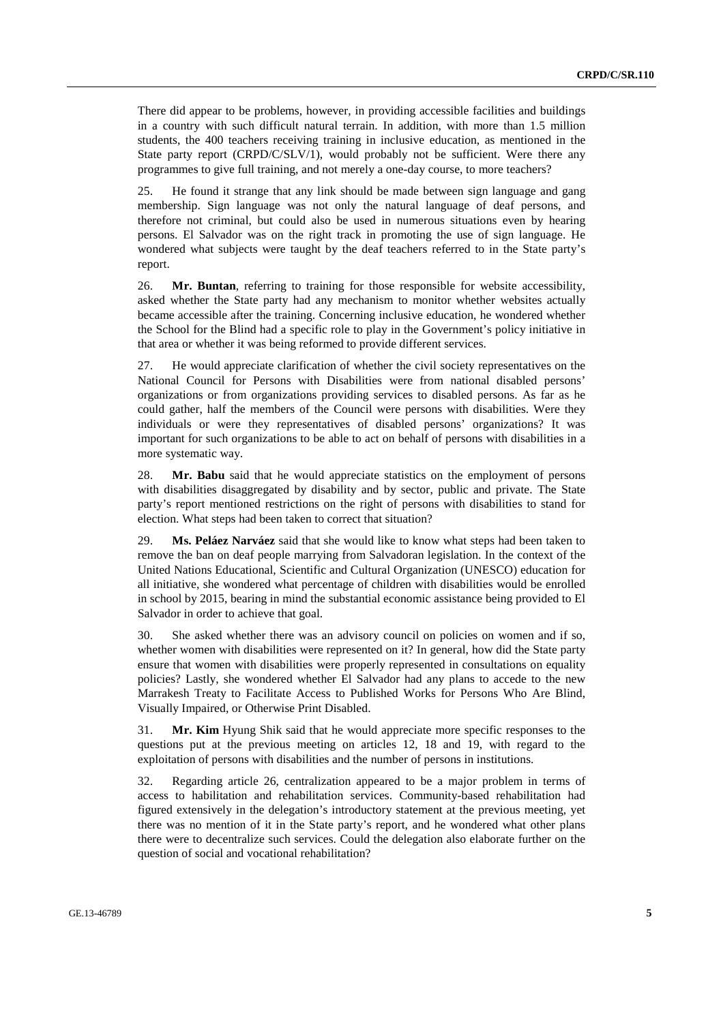There did appear to be problems, however, in providing accessible facilities and buildings in a country with such difficult natural terrain. In addition, with more than 1.5 million students, the 400 teachers receiving training in inclusive education, as mentioned in the State party report (CRPD/C/SLV/1), would probably not be sufficient. Were there any programmes to give full training, and not merely a one-day course, to more teachers?

25. He found it strange that any link should be made between sign language and gang membership. Sign language was not only the natural language of deaf persons, and therefore not criminal, but could also be used in numerous situations even by hearing persons. El Salvador was on the right track in promoting the use of sign language. He wondered what subjects were taught by the deaf teachers referred to in the State party's report.

26. **Mr. Buntan**, referring to training for those responsible for website accessibility, asked whether the State party had any mechanism to monitor whether websites actually became accessible after the training. Concerning inclusive education, he wondered whether the School for the Blind had a specific role to play in the Government's policy initiative in that area or whether it was being reformed to provide different services.

27. He would appreciate clarification of whether the civil society representatives on the National Council for Persons with Disabilities were from national disabled persons' organizations or from organizations providing services to disabled persons. As far as he could gather, half the members of the Council were persons with disabilities. Were they individuals or were they representatives of disabled persons' organizations? It was important for such organizations to be able to act on behalf of persons with disabilities in a more systematic way.

28. **Mr. Babu** said that he would appreciate statistics on the employment of persons with disabilities disaggregated by disability and by sector, public and private. The State party's report mentioned restrictions on the right of persons with disabilities to stand for election. What steps had been taken to correct that situation?

29. **Ms. Peláez Narváez** said that she would like to know what steps had been taken to remove the ban on deaf people marrying from Salvadoran legislation. In the context of the United Nations Educational, Scientific and Cultural Organization (UNESCO) education for all initiative, she wondered what percentage of children with disabilities would be enrolled in school by 2015, bearing in mind the substantial economic assistance being provided to El Salvador in order to achieve that goal.

30. She asked whether there was an advisory council on policies on women and if so, whether women with disabilities were represented on it? In general, how did the State party ensure that women with disabilities were properly represented in consultations on equality policies? Lastly, she wondered whether El Salvador had any plans to accede to the new Marrakesh Treaty to Facilitate Access to Published Works for Persons Who Are Blind, Visually Impaired, or Otherwise Print Disabled.

31. **Mr. Kim** Hyung Shik said that he would appreciate more specific responses to the questions put at the previous meeting on articles 12, 18 and 19, with regard to the exploitation of persons with disabilities and the number of persons in institutions.

32. Regarding article 26, centralization appeared to be a major problem in terms of access to habilitation and rehabilitation services. Community-based rehabilitation had figured extensively in the delegation's introductory statement at the previous meeting, yet there was no mention of it in the State party's report, and he wondered what other plans there were to decentralize such services. Could the delegation also elaborate further on the question of social and vocational rehabilitation?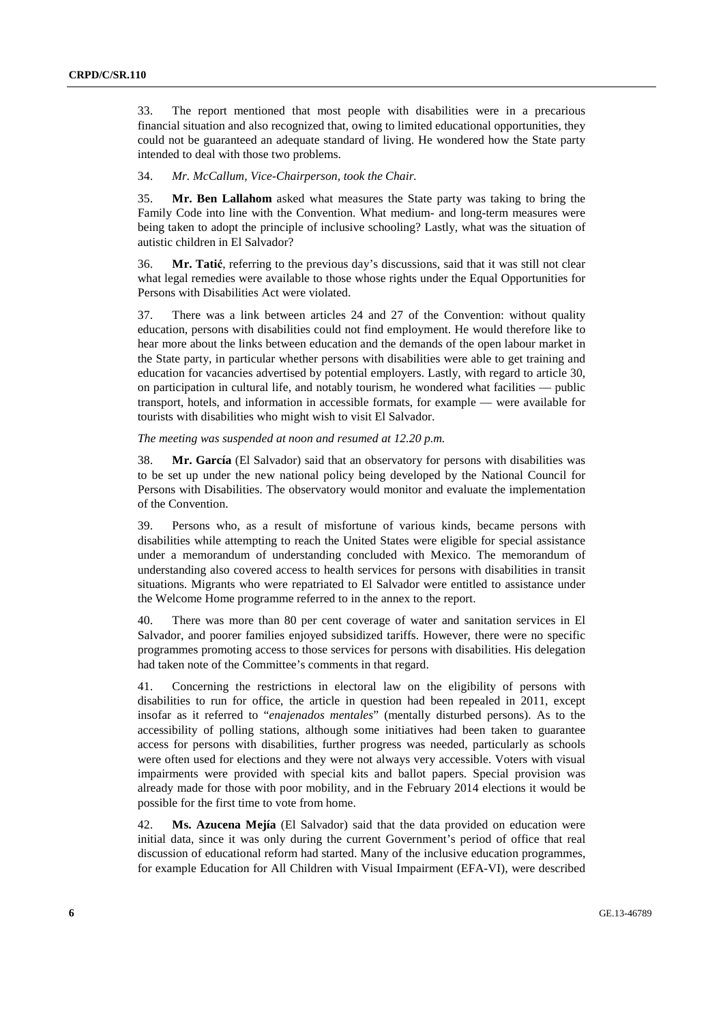33. The report mentioned that most people with disabilities were in a precarious financial situation and also recognized that, owing to limited educational opportunities, they could not be guaranteed an adequate standard of living. He wondered how the State party intended to deal with those two problems.

#### 34. *Mr. McCallum, Vice-Chairperson, took the Chair.*

35. **Mr. Ben Lallahom** asked what measures the State party was taking to bring the Family Code into line with the Convention. What medium- and long-term measures were being taken to adopt the principle of inclusive schooling? Lastly, what was the situation of autistic children in El Salvador?

36. **Mr. Tatić**, referring to the previous day's discussions, said that it was still not clear what legal remedies were available to those whose rights under the Equal Opportunities for Persons with Disabilities Act were violated.

37. There was a link between articles 24 and 27 of the Convention: without quality education, persons with disabilities could not find employment. He would therefore like to hear more about the links between education and the demands of the open labour market in the State party, in particular whether persons with disabilities were able to get training and education for vacancies advertised by potential employers. Lastly, with regard to article 30, on participation in cultural life, and notably tourism, he wondered what facilities — public transport, hotels, and information in accessible formats, for example — were available for tourists with disabilities who might wish to visit El Salvador.

#### *The meeting was suspended at noon and resumed at 12.20 p.m.*

38. **Mr. García** (El Salvador) said that an observatory for persons with disabilities was to be set up under the new national policy being developed by the National Council for Persons with Disabilities. The observatory would monitor and evaluate the implementation of the Convention.

39. Persons who, as a result of misfortune of various kinds, became persons with disabilities while attempting to reach the United States were eligible for special assistance under a memorandum of understanding concluded with Mexico. The memorandum of understanding also covered access to health services for persons with disabilities in transit situations. Migrants who were repatriated to El Salvador were entitled to assistance under the Welcome Home programme referred to in the annex to the report.

40. There was more than 80 per cent coverage of water and sanitation services in El Salvador, and poorer families enjoyed subsidized tariffs. However, there were no specific programmes promoting access to those services for persons with disabilities. His delegation had taken note of the Committee's comments in that regard.

41. Concerning the restrictions in electoral law on the eligibility of persons with disabilities to run for office, the article in question had been repealed in 2011, except insofar as it referred to "*enajenados mentales*" (mentally disturbed persons). As to the accessibility of polling stations, although some initiatives had been taken to guarantee access for persons with disabilities, further progress was needed, particularly as schools were often used for elections and they were not always very accessible. Voters with visual impairments were provided with special kits and ballot papers. Special provision was already made for those with poor mobility, and in the February 2014 elections it would be possible for the first time to vote from home.

42. **Ms. Azucena Mejía** (El Salvador) said that the data provided on education were initial data, since it was only during the current Government's period of office that real discussion of educational reform had started. Many of the inclusive education programmes, for example Education for All Children with Visual Impairment (EFA-VI), were described